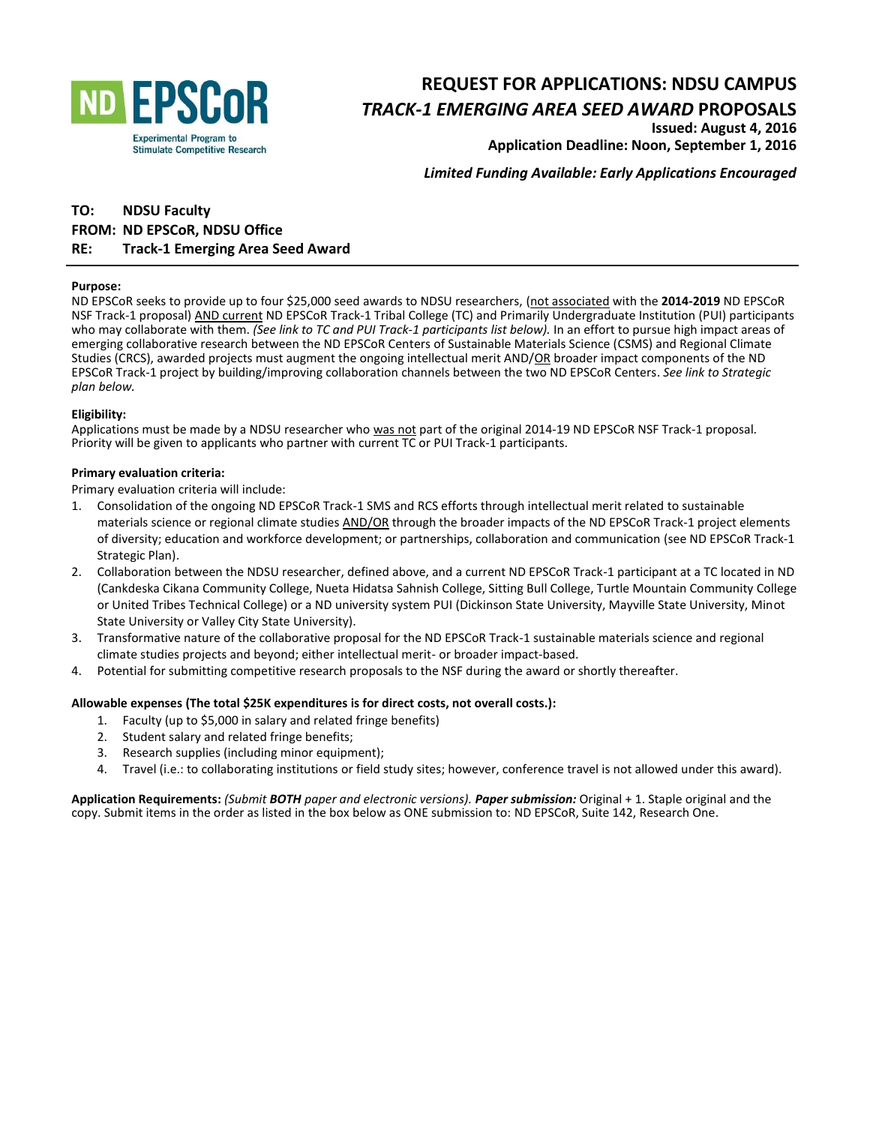

# **REQUEST FOR APPLICATIONS: NDSU CAMPUS**

### *TRACK-1 EMERGING AREA SEED AWARD* **PROPOSALS**

**Issued: August 4, 2016 Application Deadline: Noon, September 1, 2016**

*Limited Funding Available: Early Applications Encouraged*

## **TO: NDSU Faculty FROM: ND EPSCoR, NDSU Office**

#### **RE: Track-1 Emerging Area Seed Award**

#### **Purpose:**

ND EPSCoR seeks to provide up to four \$25,000 seed awards to NDSU researchers, (not associated with the **2014-2019** ND EPSCoR NSF Track-1 proposal) AND current ND EPSCoR Track-1 Tribal College (TC) and Primarily Undergraduate Institution (PUI) participants who may collaborate with them. *(See link to TC and PUI Track-1 participants list below).* In an effort to pursue high impact areas of emerging collaborative research between the ND EPSCoR Centers of Sustainable Materials Science (CSMS) and Regional Climate Studies (CRCS), awarded projects must augment the ongoing intellectual merit AND/OR broader impact components of the ND EPSCoR Track-1 project by building/improving collaboration channels between the two ND EPSCoR Centers. *See link to Strategic plan below.*

#### **Eligibility:**

Applications must be made by a NDSU researcher who was not part of the original 2014-19 ND EPSCoR NSF Track-1 proposal. Priority will be given to applicants who partner with current TC or PUI Track-1 participants.

#### **Primary evaluation criteria:**

Primary evaluation criteria will include:

- 1. Consolidation of the ongoing ND EPSCoR Track-1 SMS and RCS efforts through intellectual merit related to sustainable materials science or regional climate studies AND/OR through the broader impacts of the ND EPSCoR Track-1 project elements of diversity; education and workforce development; or partnerships, collaboration and communication (see ND EPSCoR Track-1 Strategic Plan).
- 2. Collaboration between the NDSU researcher, defined above, and a current ND EPSCoR Track-1 participant at a TC located in ND (Cankdeska Cikana Community College, Nueta Hidatsa Sahnish College, Sitting Bull College, Turtle Mountain Community College or United Tribes Technical College) or a ND university system PUI (Dickinson State University, Mayville State University, Minot State University or Valley City State University).
- 3. Transformative nature of the collaborative proposal for the ND EPSCoR Track-1 sustainable materials science and regional climate studies projects and beyond; either intellectual merit- or broader impact-based.
- 4. Potential for submitting competitive research proposals to the NSF during the award or shortly thereafter.

#### **Allowable expenses (The total \$25K expenditures is for direct costs, not overall costs.):**

- 1. Faculty (up to \$5,000 in salary and related fringe benefits)
- 2. Student salary and related fringe benefits;
- 3. Research supplies (including minor equipment);
- 4. Travel (i.e.: to collaborating institutions or field study sites; however, conference travel is not allowed under this award).

**Application Requirements:** *(Submit BOTH paper and electronic versions). Paper submission:* Original + 1. Staple original and the copy. Submit items in the order as listed in the box below as ONE submission to: ND EPSCoR, Suite 142, Research One.